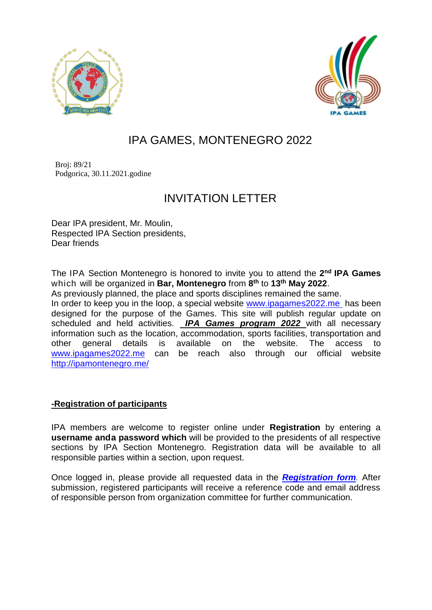



# IPA GAMES, MONTENEGRO 2022

 Broj: 89/21 Podgorica, 30.11.2021.godine

## INVITATION LETTER

Dear IPA president, Mr. Moulin, Respected IPA Section presidents, Dear friends

The IPA Section Montenegro is honored to invite you to attend the **2 nd IPA Games** which will be organized in **Bar, Montenegro** from **8 th** to **13th May 2022**.

As previously planned, the place and sports disciplines remained the same.

In order to keep you in the loop, a special website [www.ipagames2022.me](http://www.ipagames2022.me/) has been designed for the purpose of the Games. This site will publish regular update on scheduled and held activities. *IPA Games program 2022* with all necessary information such as the location, accommodation, sports facilities, transportation and other general details is available on the website. The access to [www.ipagames2022.me](http://www.ipagames2022.me/) can be reach also through our official website <http://ipamontenegro.me/>

### **-Registration of participants**

IPA members are welcome to register online under **Registration** by entering a **username anda password which** will be provided to the presidents of all respective sections by IPA Section Montenegro. Registration data will be available to all responsible parties within a section, upon request.

Once logged in, please provide all requested data in the *[Registration](https://ipagames2022.me/en/registration) form.* After submission, registered participants will receive a reference code and email address of responsible person from organization committee for further communication.